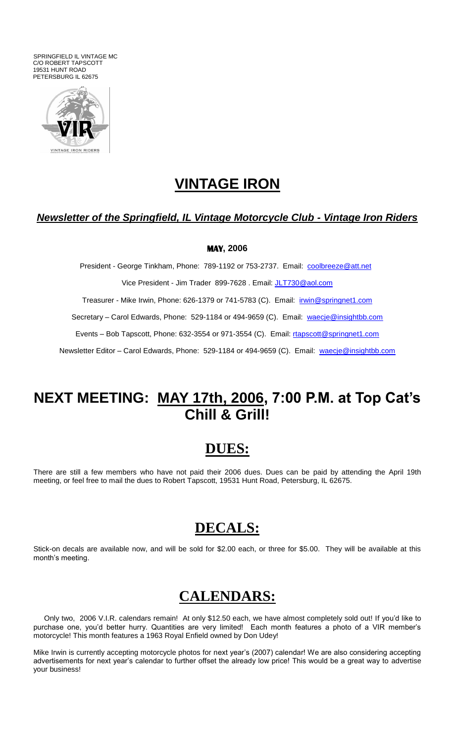SPRINGFIELD IL VINTAGE MC C/O ROBERT TAPSCOTT 19531 HUNT ROAD PETERSBURG IL 62675



## **VINTAGE IRON**

### *Newsletter of the Springfield, IL Vintage Motorcycle Club - Vintage Iron Riders*

#### **MAY, 2006**

President - George Tinkham, Phone: 789-1192 or 753-2737. Email: [coolbreeze@att.net](mailto:coolbreeze@att.net) Vice President - Jim Trader 899-7628. Email: [JLT730@aol.com](mailto:JLT730@aol.com) Treasurer - Mike Irwin, Phone: 626-1379 or 741-5783 (C). Email: [irwin@springnet1.com](mailto:irwin@springnet1.com) Secretary – Carol Edwards, Phone: 529-1184 or 494-9659 (C). Email: [waecje@insightbb.com](mailto:waecje@insightbb.com) Events – Bob Tapscott, Phone: 632-3554 or 971-3554 (C). Email: [rtapscott@springnet1.com](mailto:rtapscott@springnet1.com) Newsletter Editor – Carol Edwards, Phone: 529-1184 or 494-9659 (C). Email: [waecje@insightbb.com](mailto:waecje@insightbb.com)

## **NEXT MEETING: MAY 17th, 2006, 7:00 P.M. at Top Cat's Chill & Grill!**

### **DUES:**

There are still a few members who have not paid their 2006 dues. Dues can be paid by attending the April 19th meeting, or feel free to mail the dues to Robert Tapscott, 19531 Hunt Road, Petersburg, IL 62675.

### **DECALS:**

Stick-on decals are available now, and will be sold for \$2.00 each, or three for \$5.00. They will be available at this month's meeting.

### **CALENDARS:**

 Only two, 2006 V.I.R. calendars remain! At only \$12.50 each, we have almost completely sold out! If you'd like to purchase one, you'd better hurry. Quantities are very limited! Each month features a photo of a VIR member's motorcycle! This month features a 1963 Royal Enfield owned by Don Udey!

Mike Irwin is currently accepting motorcycle photos for next year's (2007) calendar! We are also considering accepting advertisements for next year's calendar to further offset the already low price! This would be a great way to advertise your business!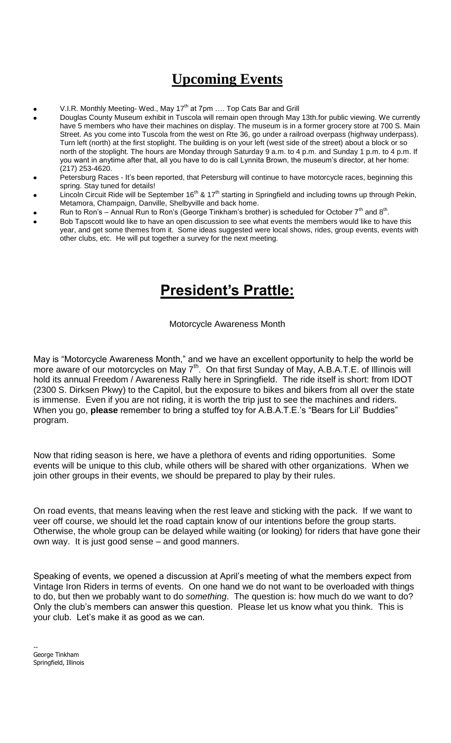# **Upcoming Events**

- V.I.R. Monthly Meeting- Wed., May  $17<sup>th</sup>$  at 7pm .... Top Cats Bar and Grill
- Douglas County Museum exhibit in Tuscola will remain open through May 13th.for public viewing. We currently have 5 members who have their machines on display. The museum is in a former grocery store at 700 S. Main Street. As you come into Tuscola from the west on Rte 36, go under a railroad overpass (highway underpass). Turn left (north) at the first stoplight. The building is on your left (west side of the street) about a block or so north of the stoplight. The hours are Monday through Saturday 9 a.m. to 4 p.m. and Sunday 1 p.m. to 4 p.m. If you want in anytime after that, all you have to do is call Lynnita Brown, the museum's director, at her home: (217) 253-4620.
- Petersburg Races It's been reported, that Petersburg will continue to have motorcycle races, beginning this spring. Stay tuned for details!
- Lincoln Circuit Ride will be September 16<sup>th</sup> & 17<sup>th</sup> starting in Springfield and including towns up through Pekin, Metamora, Champaign, Danville, Shelbyville and back home.
- Run to Ron's Annual Run to Ron's (George Tinkham's brother) is scheduled for October 7<sup>th</sup> and 8<sup>th</sup>.
- Bob Tapscott would like to have an open discussion to see what events the members would like to have this year, and get some themes from it. Some ideas suggested were local shows, rides, group events, events with other clubs, etc. He will put together a survey for the next meeting.

# **President's Prattle:**

#### Motorcycle Awareness Month

May is "Motorcycle Awareness Month," and we have an excellent opportunity to help the world be more aware of our motorcycles on May 7<sup>th</sup>. On that first Sunday of May, A.B.A.T.E. of Illinois will hold its annual Freedom / Awareness Rally here in Springfield. The ride itself is short: from IDOT (2300 S. Dirksen Pkwy) to the Capitol, but the exposure to bikes and bikers from all over the state is immense. Even if you are not riding, it is worth the trip just to see the machines and riders. When you go, **please** remember to bring a stuffed toy for A.B.A.T.E.'s "Bears for Lil' Buddies" program.

Now that riding season is here, we have a plethora of events and riding opportunities. Some events will be unique to this club, while others will be shared with other organizations. When we join other groups in their events, we should be prepared to play by their rules.

On road events, that means leaving when the rest leave and sticking with the pack. If we want to veer off course, we should let the road captain know of our intentions before the group starts. Otherwise, the whole group can be delayed while waiting (or looking) for riders that have gone their own way. It is just good sense – and good manners.

Speaking of events, we opened a discussion at April's meeting of what the members expect from Vintage Iron Riders in terms of events. On one hand we do not want to be overloaded with things to do, but then we probably want to do *something*. The question is: how much do we want to do? Only the club's members can answer this question. Please let us know what you think. This is your club. Let's make it as good as we can.

-- George Tinkham Springfield, Illinois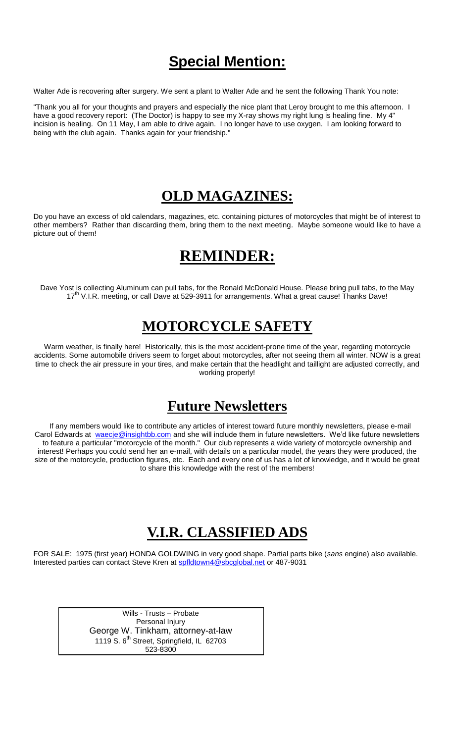# **Special Mention:**

Walter Ade is recovering after surgery. We sent a plant to Walter Ade and he sent the following Thank You note:

"Thank you all for your thoughts and prayers and especially the nice plant that Leroy brought to me this afternoon. I have a good recovery report: (The Doctor) is happy to see my X-ray shows my right lung is healing fine. My 4" incision is healing. On 11 May, I am able to drive again. I no longer have to use oxygen. I am looking forward to being with the club again. Thanks again for your friendship."

### **OLD MAGAZINES:**

Do you have an excess of old calendars, magazines, etc. containing pictures of motorcycles that might be of interest to other members? Rather than discarding them, bring them to the next meeting. Maybe someone would like to have a picture out of them!

## **REMINDER:**

Dave Yost is collecting Aluminum can pull tabs, for the Ronald McDonald House. Please bring pull tabs, to the May 17<sup>th</sup> V.I.R. meeting, or call Dave at 529-3911 for arrangements. What a great cause! Thanks Dave!

## **MOTORCYCLE SAFETY**

Warm weather, is finally here! Historically, this is the most accident-prone time of the year, regarding motorcycle accidents. Some automobile drivers seem to forget about motorcycles, after not seeing them all winter. NOW is a great time to check the air pressure in your tires, and make certain that the headlight and taillight are adjusted correctly, and working properly!

## **Future Newsletters**

 If any members would like to contribute any articles of interest toward future monthly newsletters, please e-mail Carol Edwards at [waecje@insightbb.com](mailto:waecje@insightbb.com) and she will include them in future newsletters. We'd like future newsletters to feature a particular "motorcycle of the month." Our club represents a wide variety of motorcycle ownership and interest! Perhaps you could send her an e-mail, with details on a particular model, the years they were produced, the size of the motorcycle, production figures, etc. Each and every one of us has a lot of knowledge, and it would be great to share this knowledge with the rest of the members!

## **V.I.R. CLASSIFIED ADS**

FOR SALE: 1975 (first year) HONDA GOLDWING in very good shape. Partial parts bike (*sans* engine) also available. Interested parties can contact Steve Kren at [spfldtown4@sbcglobal.net](/cgi-bin/compose?mailto=1&msg=0C95FF39-2BF7-441F-9AC5-1E71A68D027C&start=0&len=253622&src=&type=x&to=spfldtown4@sbcglobal.net&cc=&bcc=&subject=&body=&curmbox=00000000-0000-0000-0000-000000000001&a=a282a2f6917543ace294fcc579d27bef1219295d94c2c1828981b31fed45f231) or 487-9031

> Wills - Trusts – Probate Personal Injury George W. Tinkham, attorney-at-law 1119 S.  $6<sup>th</sup>$  Street, Springfield, IL 62703 523-8300